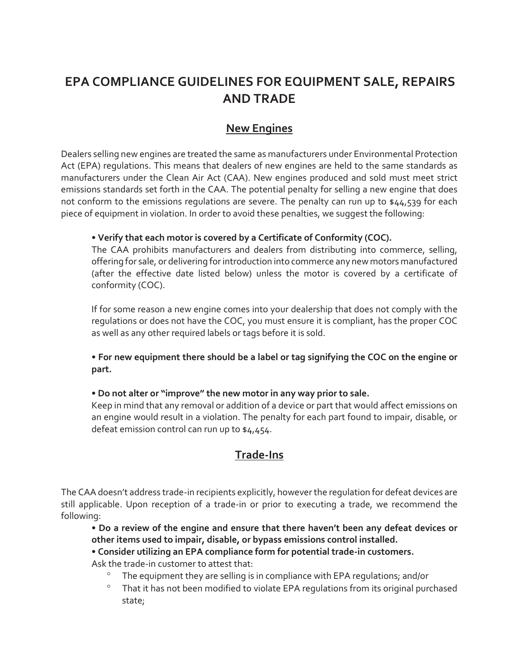# **EPA COMPLIANCE GUIDELINES FOR EQUIPMENT SALE, REPAIRS AND TRADE**

### **New Engines**

Dealers selling new engines are treated the same as manufacturers under Environmental Protection Act (EPA) regulations. This means that dealers of new engines are held to the same standards as manufacturers under the Clean Air Act (CAA). New engines produced and sold must meet strict emissions standards set forth in the CAA. The potential penalty for selling a new engine that does not conform to the emissions regulations are severe. The penalty can run up to \$44,539 for each piece of equipment in violation. In order to avoid these penalties, we suggest the following:

#### **• Verify that each motor is covered by a Certificate of Conformity (COC).**

The CAA prohibits manufacturers and dealers from distributing into commerce, selling, offering for sale, or delivering for introduction into commerce any new motors manufactured (after the effective date listed below) unless the motor is covered by a certificate of conformity (COC).

If for some reason a new engine comes into your dealership that does not comply with the regulations or does not have the COC, you must ensure it is compliant, has the proper COC as well as any other required labels or tags before it is sold.

**• For new equipment there should be a label or tag signifying the COC on the engine or part.** 

#### **• Do not alter or "improve" the new motor in any way prior to sale.**

Keep in mind that any removal or addition of a device or part that would affect emissions on an engine would result in a violation. The penalty for each part found to impair, disable, or defeat emission control can run up to \$4,454.

### **Trade-Ins**

The CAA doesn't address trade-in recipients explicitly, however the regulation for defeat devices are still applicable. Upon reception of a trade-in or prior to executing a trade, we recommend the following:

**• Do a review of the engine and ensure that there haven't been any defeat devices or other items used to impair, disable, or bypass emissions control installed.** 

#### **• Consider utilizing an EPA compliance form for potential trade-in customers.**

Ask the trade-in customer to attest that:

- The equipment they are selling is in compliance with EPA regulations; and/or
- <sup>o</sup> That it has not been modified to violate EPA regulations from its original purchased state;